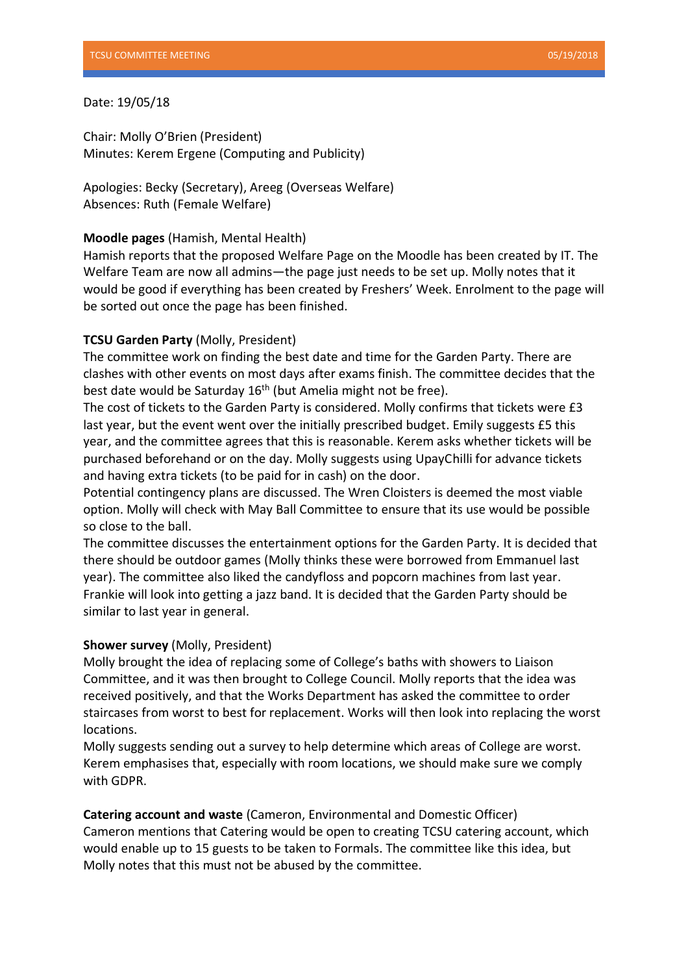## Date: 19/05/18

Chair: Molly O'Brien (President) Minutes: Kerem Ergene (Computing and Publicity)

Apologies: Becky (Secretary), Areeg (Overseas Welfare) Absences: Ruth (Female Welfare)

# **Moodle pages** (Hamish, Mental Health)

Hamish reports that the proposed Welfare Page on the Moodle has been created by IT. The Welfare Team are now all admins—the page just needs to be set up. Molly notes that it would be good if everything has been created by Freshers' Week. Enrolment to the page will be sorted out once the page has been finished.

# **TCSU Garden Party** (Molly, President)

The committee work on finding the best date and time for the Garden Party. There are clashes with other events on most days after exams finish. The committee decides that the best date would be Saturday 16<sup>th</sup> (but Amelia might not be free).

The cost of tickets to the Garden Party is considered. Molly confirms that tickets were £3 last year, but the event went over the initially prescribed budget. Emily suggests £5 this year, and the committee agrees that this is reasonable. Kerem asks whether tickets will be purchased beforehand or on the day. Molly suggests using UpayChilli for advance tickets and having extra tickets (to be paid for in cash) on the door.

Potential contingency plans are discussed. The Wren Cloisters is deemed the most viable option. Molly will check with May Ball Committee to ensure that its use would be possible so close to the ball.

The committee discusses the entertainment options for the Garden Party. It is decided that there should be outdoor games (Molly thinks these were borrowed from Emmanuel last year). The committee also liked the candyfloss and popcorn machines from last year. Frankie will look into getting a jazz band. It is decided that the Garden Party should be similar to last year in general.

### **Shower survey** (Molly, President)

Molly brought the idea of replacing some of College's baths with showers to Liaison Committee, and it was then brought to College Council. Molly reports that the idea was received positively, and that the Works Department has asked the committee to order staircases from worst to best for replacement. Works will then look into replacing the worst locations.

Molly suggests sending out a survey to help determine which areas of College are worst. Kerem emphasises that, especially with room locations, we should make sure we comply with GDPR.

**Catering account and waste** (Cameron, Environmental and Domestic Officer) Cameron mentions that Catering would be open to creating TCSU catering account, which would enable up to 15 guests to be taken to Formals. The committee like this idea, but Molly notes that this must not be abused by the committee.